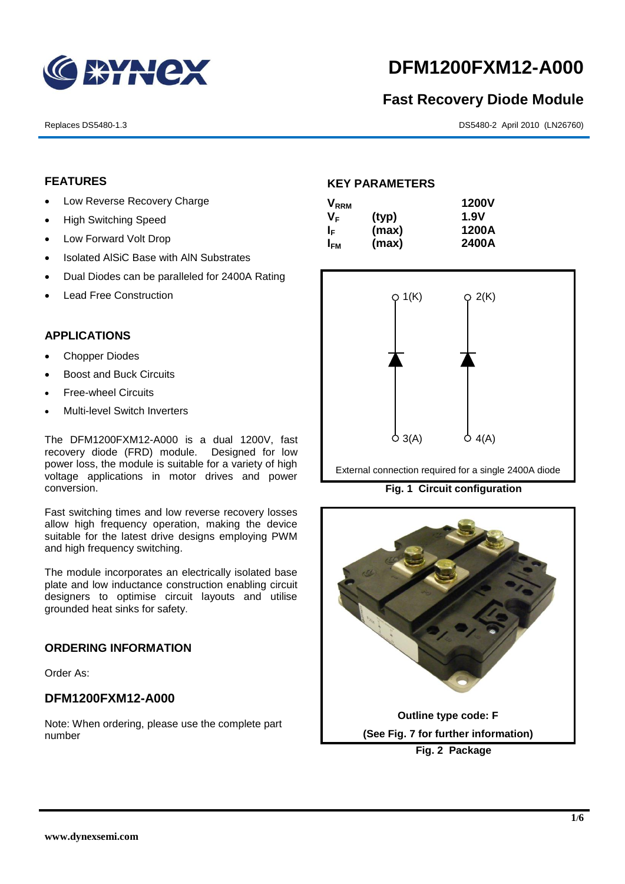

# **DFM1200FXM12-A000**

# **Fast Recovery Diode Module**

Replaces DS5480-1.3 DS5480-2 April 2010 (LN26760)

# **FEATURES**

- Low Reverse Recovery Charge
- High Switching Speed
- Low Forward Volt Drop
- Isolated AISiC Base with AIN Substrates
- Dual Diodes can be paralleled for 2400A Rating
- Lead Free Construction

## **APPLICATIONS**

- Chopper Diodes
- Boost and Buck Circuits
- Free-wheel Circuits
- Multi-level Switch Inverters

The DFM1200FXM12-A000 is a dual 1200V, fast recovery diode (FRD) module. Designed for low power loss, the module is suitable for a variety of high voltage applications in motor drives and power conversion.

Fast switching times and low reverse recovery losses allow high frequency operation, making the device suitable for the latest drive designs employing PWM and high frequency switching.

The module incorporates an electrically isolated base plate and low inductance construction enabling circuit designers to optimise circuit layouts and utilise grounded heat sinks for safety.

#### **ORDERING INFORMATION**

Order As:

# **DFM1200FXM12-A000**

Note: When ordering, please use the complete part number

## **KEY PARAMETERS**

| <b>V</b> <sub>RRM</sub> |       | <b>1200V</b> |
|-------------------------|-------|--------------|
| VF                      | (typ) | 1.9V         |
| I⊧                      | (max) | 1200A        |
| I <sub>FM</sub>         | (max) | 2400A        |



External connection required for a single 2400A diode

**Fig. 1 Circuit configuration**

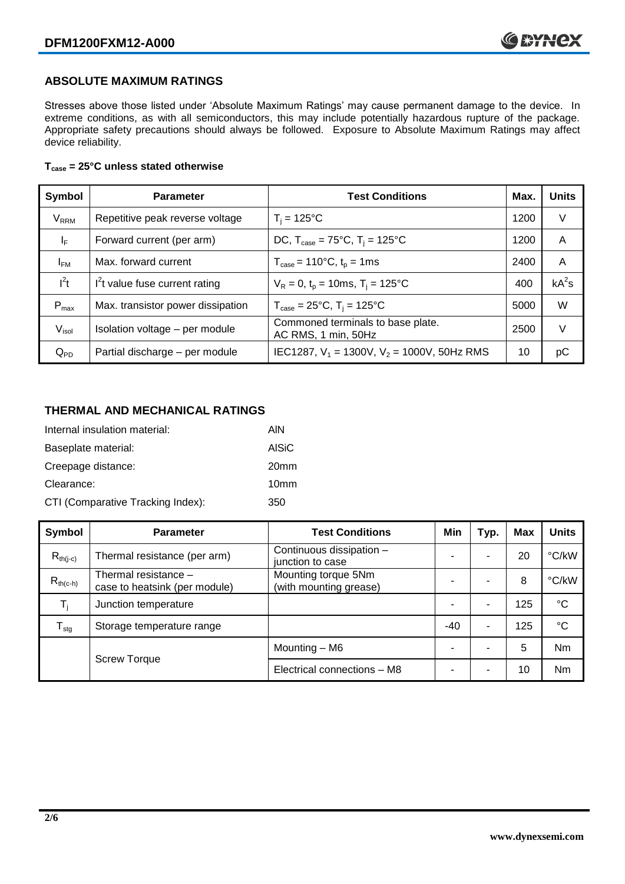# **ABSOLUTE MAXIMUM RATINGS**

Stresses above those listed under 'Absolute Maximum Ratings' may cause permanent damage to the device. In extreme conditions, as with all semiconductors, this may include potentially hazardous rupture of the package. Appropriate safety precautions should always be followed. Exposure to Absolute Maximum Ratings may affect device reliability.

#### **Tcase = 25°C unless stated otherwise**

| Symbol                  | <b>Parameter</b>                  | <b>Test Conditions</b>                                      | Max. | <b>Units</b> |
|-------------------------|-----------------------------------|-------------------------------------------------------------|------|--------------|
| <b>V<sub>RRM</sub></b>  | Repetitive peak reverse voltage   | $T_i = 125$ °C                                              | 1200 | V            |
| $\mathsf{I}_\mathsf{F}$ | Forward current (per arm)         | DC, $T_{\text{case}} = 75^{\circ}$ C, $T_i = 125^{\circ}$ C | 1200 | A            |
| $I_{FM}$                | Max. forward current              | $T_{\text{case}} = 110^{\circ}C, t_{p} = 1ms$               | 2400 | A            |
| $I^2t$                  | $I2t$ value fuse current rating   | $V_R = 0$ , $t_p = 10$ ms, $T_i = 125$ °C                   | 400  | $kA^2s$      |
| $P_{max}$               | Max. transistor power dissipation | $T_{\text{case}} = 25^{\circ}C$ , $T_i = 125^{\circ}C$      | 5000 | W            |
| V <sub>isol</sub>       | Isolation voltage - per module    | Commoned terminals to base plate.<br>AC RMS, 1 min, 50Hz    | 2500 | V            |
| $Q_{PD}$                | Partial discharge - per module    | IEC1287, $V_1$ = 1300V, $V_2$ = 1000V, 50Hz RMS             | 10   | pС           |

# **THERMAL AND MECHANICAL RATINGS**

| Internal insulation material:     | AIN              |
|-----------------------------------|------------------|
| Baseplate material:               | <b>AISIC</b>     |
| Creepage distance:                | 20 <sub>mm</sub> |
| Clearance:                        | 10 <sub>mm</sub> |
| CTI (Comparative Tracking Index): | 350              |

| Symbol              | <b>Parameter</b>                                      | <b>Test Conditions</b>                        | Min   | Typ. | <b>Max</b> | <b>Units</b> |
|---------------------|-------------------------------------------------------|-----------------------------------------------|-------|------|------------|--------------|
| $R_{th(i-c)}$       | Thermal resistance (per arm)                          | Continuous dissipation -<br>junction to case  |       | ۰    | 20         | °C/kW        |
| $R_{th(c-h)}$       | Thermal resistance -<br>case to heatsink (per module) | Mounting torque 5Nm<br>(with mounting grease) |       | ۰    | 8          | °C/kW        |
| $T_i$               | Junction temperature                                  |                                               |       | -    | 125        | $^{\circ}C$  |
| $T_{\text{stg}}$    | Storage temperature range                             |                                               | $-40$ | ۰    | 125        | $^{\circ}C$  |
|                     |                                                       | Mounting - M6                                 |       | ۰    | 5          | <b>Nm</b>    |
| <b>Screw Torque</b> | Electrical connections - M8                           |                                               | ۰     | 10   | <b>Nm</b>  |              |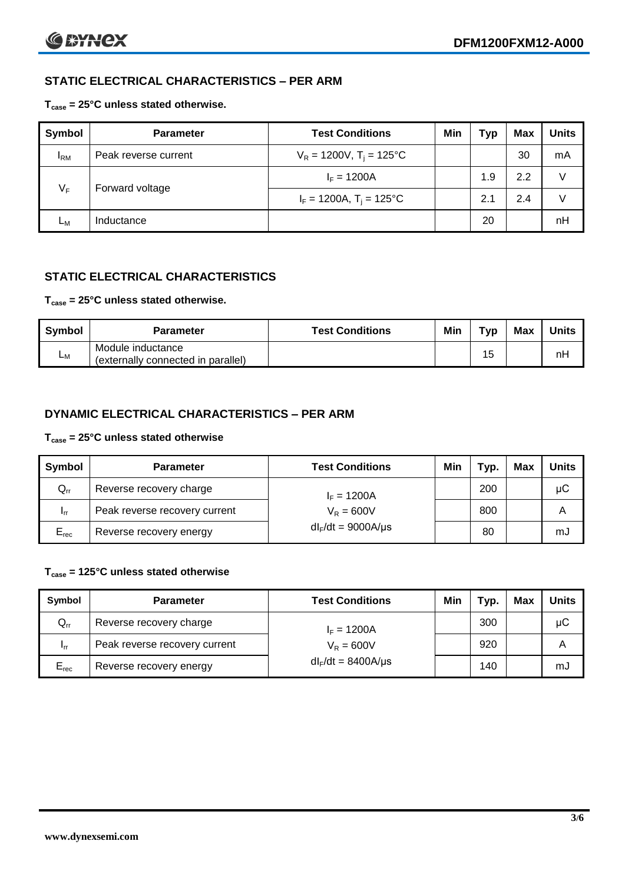# **STATIC ELECTRICAL CHARACTERISTICS – PER ARM**

### **Tcase = 25°C unless stated otherwise.**

| <b>Symbol</b> | <b>Parameter</b>     | <b>Test Conditions</b>                 | Min | Typ | <b>Max</b> | <b>Units</b> |
|---------------|----------------------|----------------------------------------|-----|-----|------------|--------------|
| $I_{\rm RM}$  | Peak reverse current | $V_R = 1200V$ , T <sub>i</sub> = 125°C |     |     | 30         | mA           |
| $V_F$         | Forward voltage      | $I_F = 1200A$                          |     | 1.9 | 2.2        | V            |
|               |                      | $I_F = 1200A$ , $T_i = 125^{\circ}C$   |     | 2.1 | 2.4        |              |
| Lм            | Inductance           |                                        |     | 20  |            | nH           |

# **STATIC ELECTRICAL CHARACTERISTICS**

## **Tcase = 25°C unless stated otherwise.**

| Symbol | <b>Parameter</b>                                        | <b>Test Conditions</b> | Min | тур | Max | <b>Units</b> |
|--------|---------------------------------------------------------|------------------------|-----|-----|-----|--------------|
| Lм     | Module inductance<br>(externally connected in parallel) |                        |     | 15  |     | nH           |

# **DYNAMIC ELECTRICAL CHARACTERISTICS – PER ARM**

#### **Tcase = 25°C unless stated otherwise**

| Symbol          | <b>Parameter</b>              | <b>Test Conditions</b>  | Min | Typ. | Max | <b>Units</b> |
|-----------------|-------------------------------|-------------------------|-----|------|-----|--------------|
| $Q_{rr}$        | Reverse recovery charge       | $I_F = 1200A$           |     | 200  |     | μC           |
| 1 <sub>rr</sub> | Peak reverse recovery current | $V_R = 600V$            |     | 800  |     | Α            |
| $E_{rec}$       | Reverse recovery energy       | $dl_F/dt = 9000A/\mu s$ |     | 80   |     | mJ           |

#### **Tcase = 125°C unless stated otherwise**

| Symbol    | <b>Parameter</b>              | <b>Test Conditions</b>  | Min | Typ. | Max | Units |
|-----------|-------------------------------|-------------------------|-----|------|-----|-------|
| $Q_{rr}$  | Reverse recovery charge       | $I_F = 1200A$           |     | 300  |     | μC    |
| - Irr     | Peak reverse recovery current | $V_R = 600V$            |     | 920  |     | Α     |
| $E_{rec}$ | Reverse recovery energy       | $dl_F/dt = 8400A/\mu s$ |     | 140  |     | mJ    |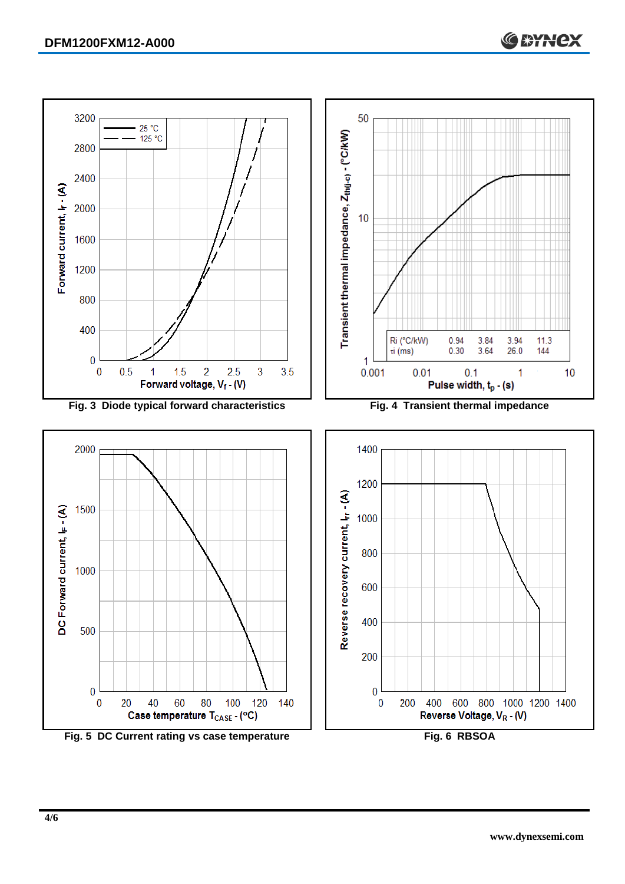

Fig. 5 DC Current rating vs case temperature **Fig. 6 RBSOA**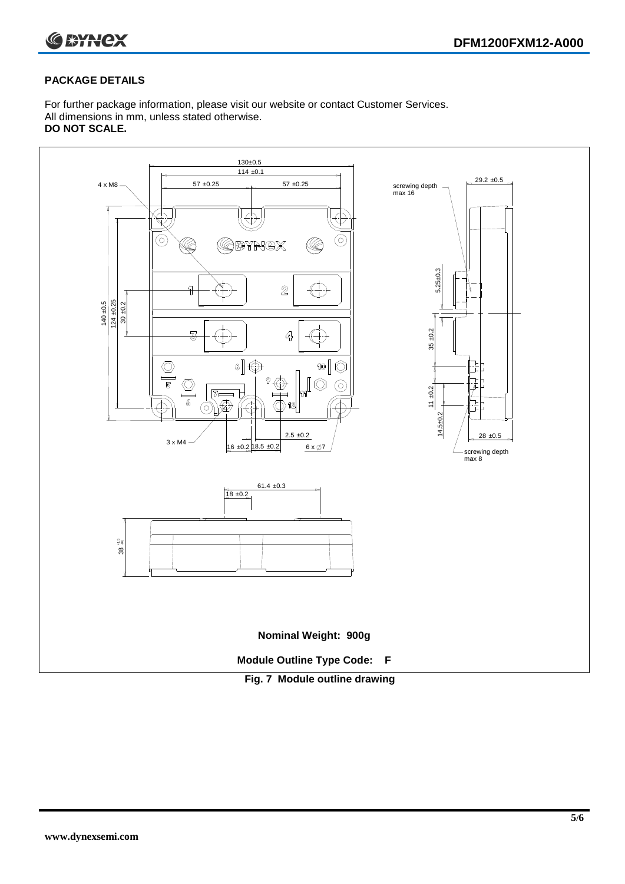

## **PACKAGE DETAILS**

For further package information, please visit our website or contact Customer Services. All dimensions in mm, unless stated otherwise. **DO NOT SCALE.**